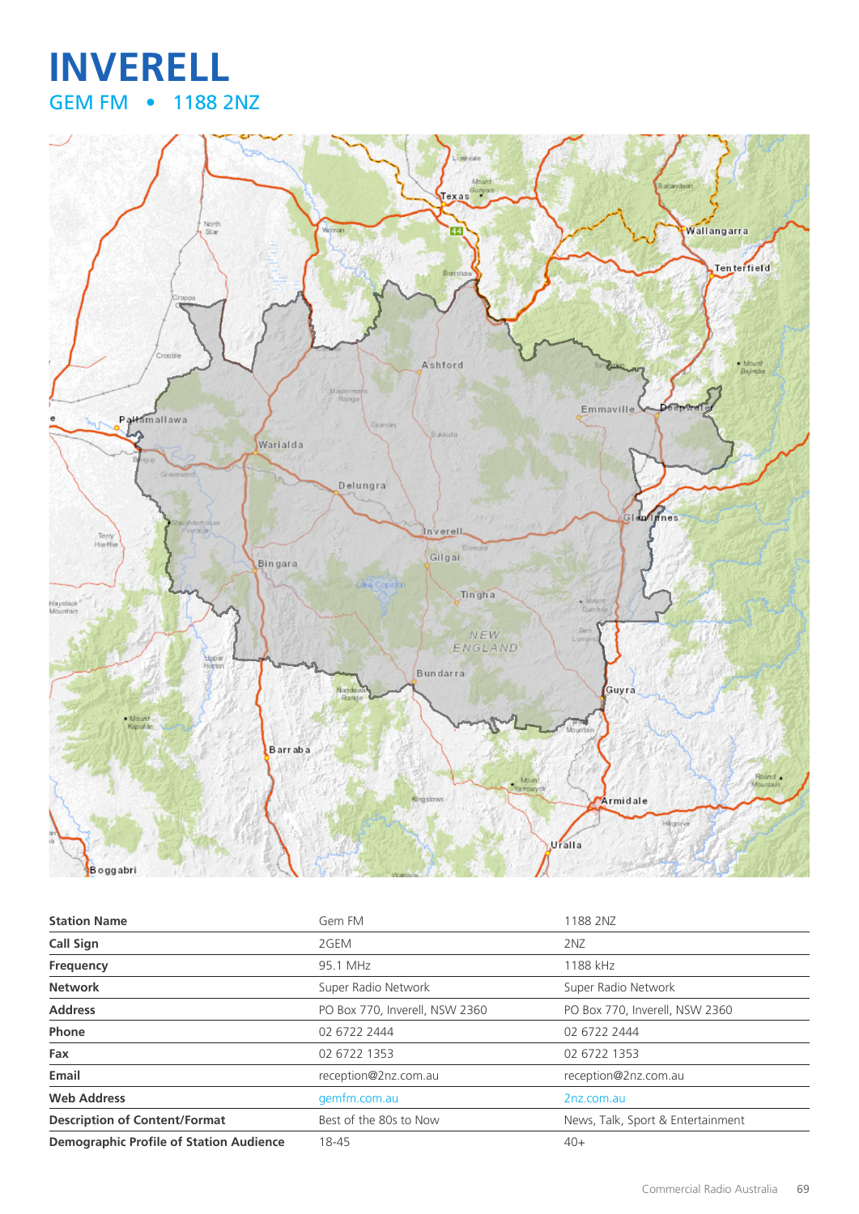## **INVERELL** GEM FM • 1188 2NZ



| <b>Station Name</b>                            | Gem FM                         | 1188 2NZ                          |
|------------------------------------------------|--------------------------------|-----------------------------------|
| <b>Call Sign</b>                               | 2GEM                           | 2 <sub>NZ</sub>                   |
| Frequency                                      | 95.1 MHz                       | 1188 kHz                          |
| <b>Network</b>                                 | Super Radio Network            | Super Radio Network               |
| <b>Address</b>                                 | PO Box 770, Inverell, NSW 2360 | PO Box 770, Inverell, NSW 2360    |
| Phone                                          | 02 6722 2444                   | 02 6722 2444                      |
| Fax                                            | 02 6722 1353                   | 02 6722 1353                      |
| Email                                          | reception@2nz.com.au           | reception@2nz.com.au              |
| <b>Web Address</b>                             | gemfm.com.au                   | 2nz.com.au                        |
| <b>Description of Content/Format</b>           | Best of the 80s to Now         | News, Talk, Sport & Entertainment |
| <b>Demographic Profile of Station Audience</b> | 18-45                          | $40+$                             |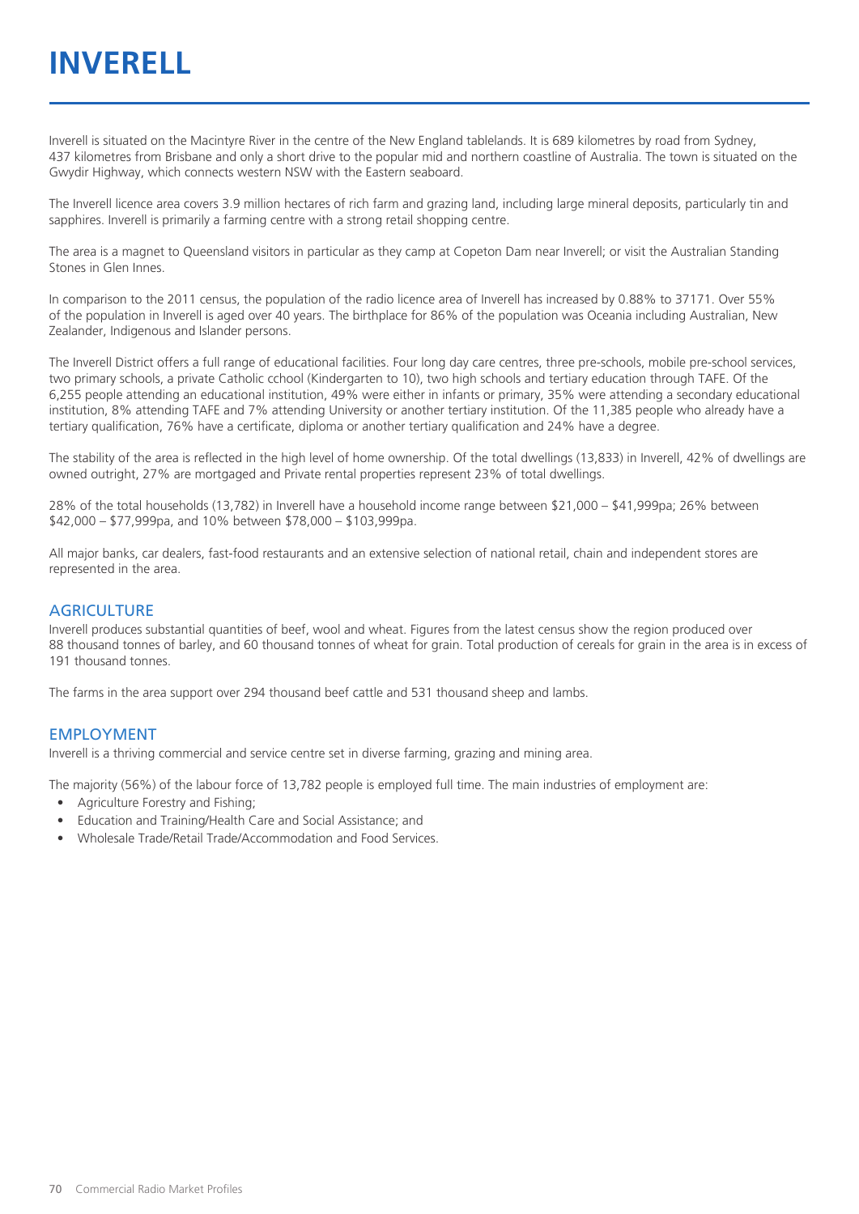# **INVERELL**

Inverell is situated on the Macintyre River in the centre of the New England tablelands. It is 689 kilometres by road from Sydney, 437 kilometres from Brisbane and only a short drive to the popular mid and northern coastline of Australia. The town is situated on the Gwydir Highway, which connects western NSW with the Eastern seaboard.

The Inverell licence area covers 3.9 million hectares of rich farm and grazing land, including large mineral deposits, particularly tin and sapphires. Inverell is primarily a farming centre with a strong retail shopping centre.

The area is a magnet to Queensland visitors in particular as they camp at Copeton Dam near Inverell; or visit the Australian Standing Stones in Glen Innes.

In comparison to the 2011 census, the population of the radio licence area of Inverell has increased by 0.88% to 37171. Over 55% of the population in Inverell is aged over 40 years. The birthplace for 86% of the population was Oceania including Australian, New Zealander, Indigenous and Islander persons.

The Inverell District offers a full range of educational facilities. Four long day care centres, three pre-schools, mobile pre-school services, two primary schools, a private Catholic cchool (Kindergarten to 10), two high schools and tertiary education through TAFE. Of the 6,255 people attending an educational institution, 49% were either in infants or primary, 35% were attending a secondary educational institution, 8% attending TAFE and 7% attending University or another tertiary institution. Of the 11,385 people who already have a tertiary qualification, 76% have a certificate, diploma or another tertiary qualification and 24% have a degree.

The stability of the area is reflected in the high level of home ownership. Of the total dwellings (13,833) in Inverell, 42% of dwellings are owned outright, 27% are mortgaged and Private rental properties represent 23% of total dwellings.

28% of the total households (13,782) in Inverell have a household income range between \$21,000 – \$41,999pa; 26% between \$42,000 – \$77,999pa, and 10% between \$78,000 – \$103,999pa.

All major banks, car dealers, fast-food restaurants and an extensive selection of national retail, chain and independent stores are represented in the area.

#### **AGRICULTURE**

Inverell produces substantial quantities of beef, wool and wheat. Figures from the latest census show the region produced over 88 thousand tonnes of barley, and 60 thousand tonnes of wheat for grain. Total production of cereals for grain in the area is in excess of 191 thousand tonnes.

The farms in the area support over 294 thousand beef cattle and 531 thousand sheep and lambs.

#### EMPLOYMENT

Inverell is a thriving commercial and service centre set in diverse farming, grazing and mining area.

The majority (56%) of the labour force of 13,782 people is employed full time. The main industries of employment are:

- Agriculture Forestry and Fishing;
- Education and Training/Health Care and Social Assistance; and
- Wholesale Trade/Retail Trade/Accommodation and Food Services.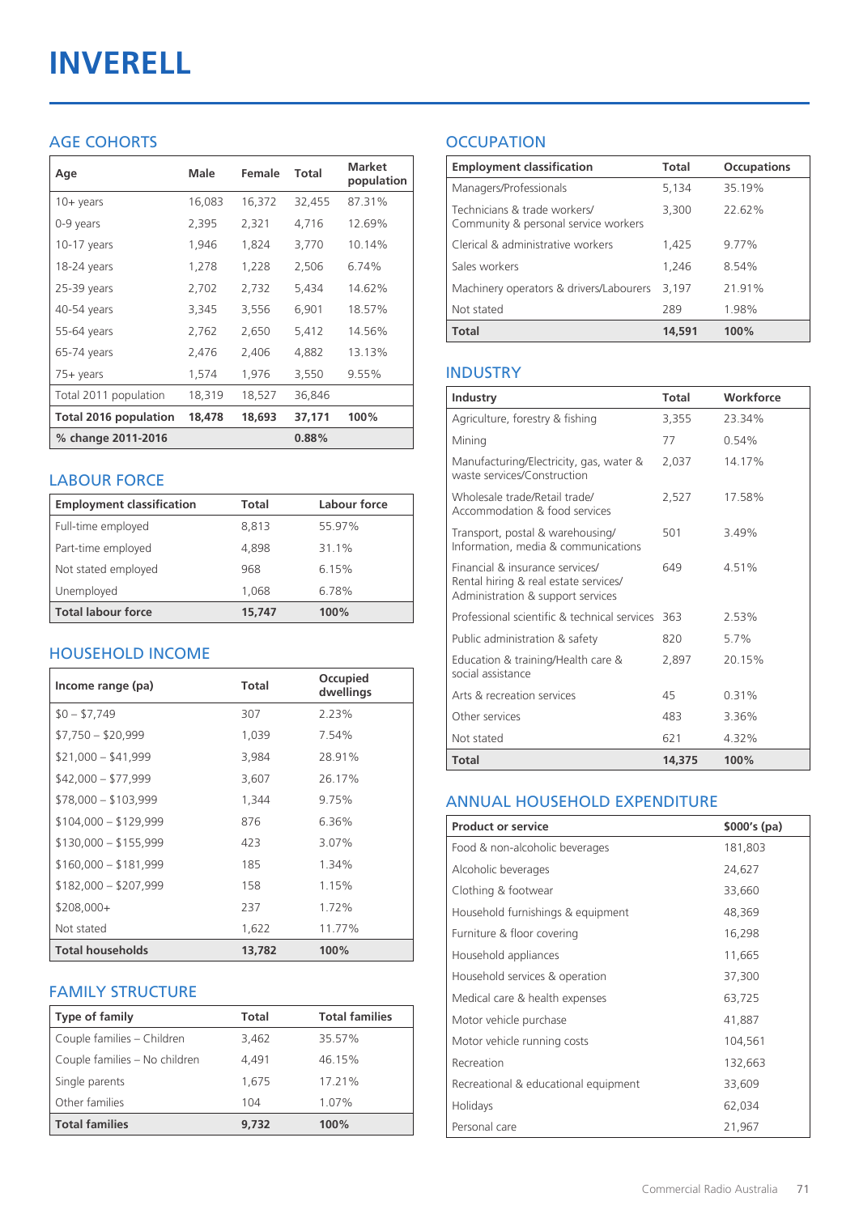# **INVERELL**

#### AGE COHORTS

| Age                   | Male   | Female | Total  | <b>Market</b><br>population |
|-----------------------|--------|--------|--------|-----------------------------|
| $10 + \gamma$ ears    | 16,083 | 16,372 | 32,455 | 87.31%                      |
| 0-9 years             | 2,395  | 2,321  | 4,716  | 12.69%                      |
| 10-17 years           | 1,946  | 1,824  | 3,770  | 10.14%                      |
| 18-24 years           | 1,278  | 1,228  | 2,506  | 6.74%                       |
| 25-39 years           | 2,702  | 2,732  | 5,434  | 14.62%                      |
| 40-54 years           | 3,345  | 3,556  | 6,901  | 18.57%                      |
| 55-64 years           | 2,762  | 2,650  | 5,412  | 14.56%                      |
| 65-74 years           | 2,476  | 2,406  | 4,882  | 13.13%                      |
| 75+ years             | 1,574  | 1,976  | 3,550  | 9.55%                       |
| Total 2011 population | 18,319 | 18,527 | 36,846 |                             |
| Total 2016 population | 18,478 | 18,693 | 37,171 | 100%                        |
| % change 2011-2016    |        |        | 0.88%  |                             |

#### LABOUR FORCE

| <b>Employment classification</b> | Total  | Labour force |
|----------------------------------|--------|--------------|
| Full-time employed               | 8,813  | 55.97%       |
| Part-time employed               | 4,898  | 31.1%        |
| Not stated employed              | 968    | 6.15%        |
| Unemployed                       | 1,068  | 6.78%        |
| <b>Total labour force</b>        | 15,747 | 100%         |

#### HOUSEHOLD INCOME

| Income range (pa)       | Total  | Occupied<br>dwellings |
|-------------------------|--------|-----------------------|
| $$0 - $7,749$           | 307    | 2.23%                 |
| $$7,750 - $20,999$      | 1,039  | 7.54%                 |
| $$21,000 - $41,999$     | 3,984  | 28.91%                |
| $$42,000 - $77,999$     | 3,607  | 26.17%                |
| $$78,000 - $103,999$    | 1,344  | 9.75%                 |
| $$104,000 - $129,999$   | 876    | 6.36%                 |
| $$130,000 - $155,999$   | 423    | 3.07%                 |
| $$160,000 - $181,999$   | 185    | 1.34%                 |
| $$182,000 - $207,999$   | 158    | 1.15%                 |
| $$208,000+$             | 237    | 1.72%                 |
| Not stated              | 1,622  | 11.77%                |
| <b>Total households</b> | 13,782 | 100%                  |

#### FAMILY STRUCTURE

| <b>Type of family</b>         | Total | <b>Total families</b> |
|-------------------------------|-------|-----------------------|
| Couple families - Children    | 3,462 | 35.57%                |
| Couple families - No children | 4.491 | 46.15%                |
| Single parents                | 1.675 | 17.21%                |
| Other families                | 104   | 1.07%                 |
| <b>Total families</b>         | 9.732 | 100%                  |

### **OCCUPATION**

| <b>Employment classification</b>                                     | <b>Total</b> | <b>Occupations</b> |
|----------------------------------------------------------------------|--------------|--------------------|
| Managers/Professionals                                               | 5,134        | 35.19%             |
| Technicians & trade workers/<br>Community & personal service workers | 3,300        | 22.62%             |
| Clerical & administrative workers                                    | 1,425        | 9.77%              |
| Sales workers                                                        | 1.246        | 8.54%              |
| Machinery operators & drivers/Labourers                              | 3,197        | 21.91%             |
| Not stated                                                           | 289          | 1.98%              |
| <b>Total</b>                                                         | 14,591       | 100%               |

#### INDUSTRY

| Industry                                                                                                      | Total  | Workforce |
|---------------------------------------------------------------------------------------------------------------|--------|-----------|
| Agriculture, forestry & fishing                                                                               | 3,355  | 23.34%    |
| Mining                                                                                                        | 77     | 0.54%     |
| Manufacturing/Electricity, gas, water &<br>waste services/Construction                                        | 2,037  | 14.17%    |
| Wholesale trade/Retail trade/<br>Accommodation & food services                                                | 2,527  | 17.58%    |
| Transport, postal & warehousing/<br>Information, media & communications                                       | 501    | 3.49%     |
| Financial & insurance services/<br>Rental hiring & real estate services/<br>Administration & support services | 649    | 4.51%     |
| Professional scientific & technical services                                                                  | 363    | 2.53%     |
| Public administration & safety                                                                                | 820    | 5.7%      |
| Education & training/Health care &<br>social assistance                                                       | 2,897  | 20.15%    |
| Arts & recreation services                                                                                    | 45     | 0.31%     |
| Other services                                                                                                | 483    | 3.36%     |
| Not stated                                                                                                    | 621    | 4.32%     |
| Total                                                                                                         | 14,375 | 100%      |

#### ANNUAL HOUSEHOLD EXPENDITURE

| <b>Product or service</b>            | $$000's$ (pa) |
|--------------------------------------|---------------|
| Food & non-alcoholic beverages       | 181,803       |
| Alcoholic beverages                  | 24,627        |
| Clothing & footwear                  | 33,660        |
| Household furnishings & equipment    | 48,369        |
| Furniture & floor covering           | 16,298        |
| Household appliances                 | 11,665        |
| Household services & operation       | 37,300        |
| Medical care & health expenses       | 63,725        |
| Motor vehicle purchase               | 41,887        |
| Motor vehicle running costs          | 104,561       |
| Recreation                           | 132,663       |
| Recreational & educational equipment | 33,609        |
| Holidays                             | 62,034        |
| Personal care                        | 21,967        |